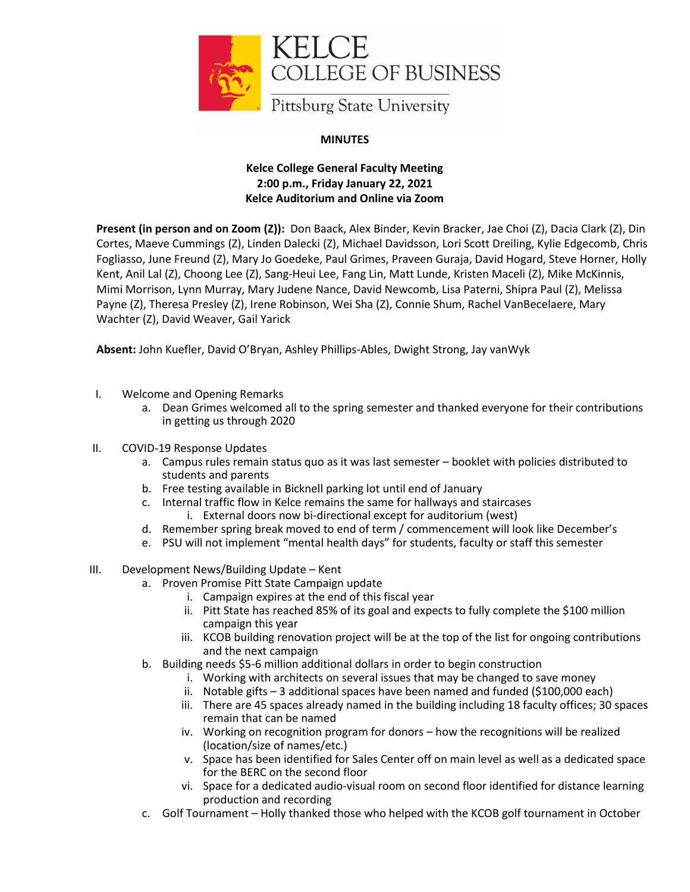

## **MINUTES**

## **Kelce College General Faculty Meeting 2:00 p.m., Friday January 22, 2021 Kelce Auditorium and Online via Zoom**

**Present (in person and on Zoom (Z)):** Don Baack, Alex Binder, Kevin Bracker, Jae Choi (Z), Dacia Clark (Z), Din Cortes, Maeve Cummings (Z), Linden Dalecki (Z), Michael Davidsson, Lori Scott Dreiling, Kylie Edgecomb, Chris Fogliasso, June Freund (Z), Mary Jo Goedeke, Paul Grimes, Praveen Guraja, David Hogard, Steve Horner, Holly Kent, Anil Lal (Z), Choong Lee (Z), Sang-Heui Lee, Fang Lin, Matt Lunde, Kristen Maceli (Z), Mike McKinnis, Mimi Morrison, Lynn Murray, Mary Judene Nance, David Newcomb, Lisa Paterni, Shipra Paul (Z), Melissa Payne (Z), Theresa Presley (Z), Irene Robinson, Wei Sha (Z), Connie Shum, Rachel VanBecelaere, Mary Wachter (Z), David Weaver, Gail Yarick

**Absent:** John Kuefler, David O'Bryan, Ashley Phillips-Ables, Dwight Strong, Jay vanWyk

- I. Welcome and Opening Remarks
	- a. Dean Grimes welcomed all to the spring semester and thanked everyone for their contributions in getting us through 2020
- II. COVID-19 Response Updates
	- a. Campus rules remain status quo as it was last semester booklet with policies distributed to students and parents
	- b. Free testing available in Bicknell parking lot until end of January
	- c. Internal traffic flow in Kelce remains the same for hallways and staircases i. External doors now bi-directional except for auditorium (west)
	- d. Remember spring break moved to end of term / commencement will look like December's
	- e. PSU will not implement "mental health days" for students, faculty or staff this semester
- III. Development News/Building Update Kent
	- a. Proven Promise Pitt State Campaign update
		- i. Campaign expires at the end of this fiscal year
		- ii. Pitt State has reached 85% of its goal and expects to fully complete the \$100 million campaign this year
		- iii. KCOB building renovation project will be at the top of the list for ongoing contributions and the next campaign
	- b. Building needs \$5-6 million additional dollars in order to begin construction
		- i. Working with architects on several issues that may be changed to save money
		- ii. Notable gifts 3 additional spaces have been named and funded (\$100,000 each)
		- iii. There are 45 spaces already named in the building including 18 faculty offices; 30 spaces remain that can be named
		- iv. Working on recognition program for donors how the recognitions will be realized (location/size of names/etc.)
		- v. Space has been identified for Sales Center off on main level as well as a dedicated space for the BERC on the second floor
		- vi. Space for a dedicated audio-visual room on second floor identified for distance learning production and recording
	- c. Golf Tournament Holly thanked those who helped with the KCOB golf tournament in October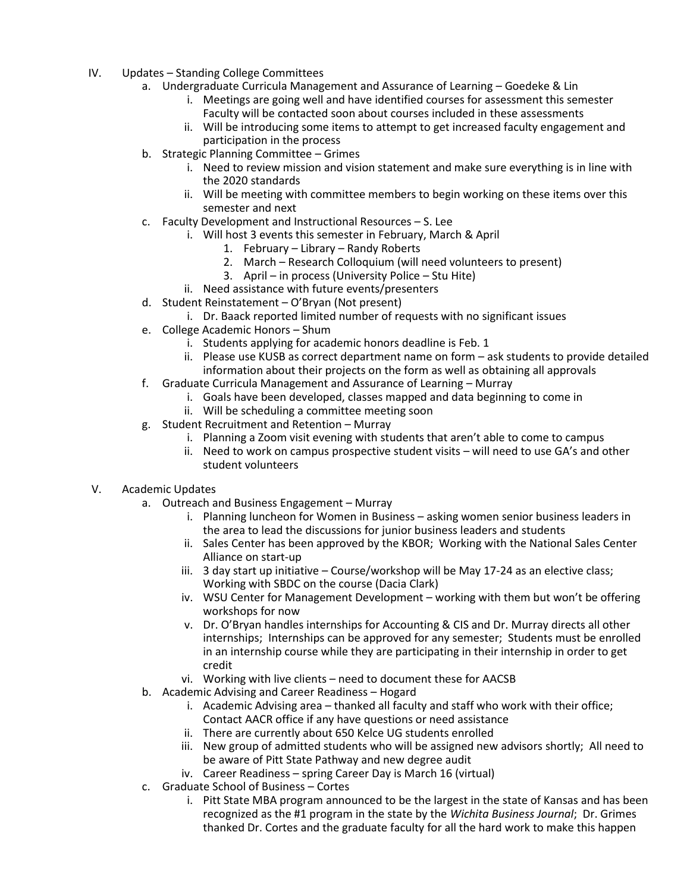- IV. Updates Standing College Committees
	- a. Undergraduate Curricula Management and Assurance of Learning Goedeke & Lin
		- i. Meetings are going well and have identified courses for assessment this semester Faculty will be contacted soon about courses included in these assessments
		- ii. Will be introducing some items to attempt to get increased faculty engagement and participation in the process
	- b. Strategic Planning Committee Grimes
		- i. Need to review mission and vision statement and make sure everything is in line with the 2020 standards
		- ii. Will be meeting with committee members to begin working on these items over this semester and next
	- c. Faculty Development and Instructional Resources S. Lee
		- i. Will host 3 events this semester in February, March & April
			- 1. February Library Randy Roberts
			- 2. March Research Colloquium (will need volunteers to present)
			- 3. April in process (University Police Stu Hite)
		- ii. Need assistance with future events/presenters
	- d. Student Reinstatement O'Bryan (Not present)
		- i. Dr. Baack reported limited number of requests with no significant issues
	- e. College Academic Honors Shum
		- i. Students applying for academic honors deadline is Feb. 1
		- ii. Please use KUSB as correct department name on form ask students to provide detailed information about their projects on the form as well as obtaining all approvals
	- f. Graduate Curricula Management and Assurance of Learning Murray
		- i. Goals have been developed, classes mapped and data beginning to come in
		- ii. Will be scheduling a committee meeting soon
	- g. Student Recruitment and Retention Murray
		- i. Planning a Zoom visit evening with students that aren't able to come to campus
			- ii. Need to work on campus prospective student visits will need to use GA's and other student volunteers

## V. Academic Updates

- a. Outreach and Business Engagement Murray
	- i. Planning luncheon for Women in Business asking women senior business leaders in the area to lead the discussions for junior business leaders and students
	- ii. Sales Center has been approved by the KBOR; Working with the National Sales Center Alliance on start-up
	- iii. 3 day start up initiative Course/workshop will be May 17-24 as an elective class; Working with SBDC on the course (Dacia Clark)
	- iv. WSU Center for Management Development working with them but won't be offering workshops for now
	- v. Dr. O'Bryan handles internships for Accounting & CIS and Dr. Murray directs all other internships; Internships can be approved for any semester; Students must be enrolled in an internship course while they are participating in their internship in order to get credit
	- vi. Working with live clients need to document these for AACSB
- b. Academic Advising and Career Readiness Hogard
	- i. Academic Advising area thanked all faculty and staff who work with their office; Contact AACR office if any have questions or need assistance
	- ii. There are currently about 650 Kelce UG students enrolled
	- iii. New group of admitted students who will be assigned new advisors shortly; All need to be aware of Pitt State Pathway and new degree audit
	- iv. Career Readiness spring Career Day is March 16 (virtual)
- c. Graduate School of Business Cortes
	- i. Pitt State MBA program announced to be the largest in the state of Kansas and has been recognized as the #1 program in the state by the *Wichita Business Journal*; Dr. Grimes thanked Dr. Cortes and the graduate faculty for all the hard work to make this happen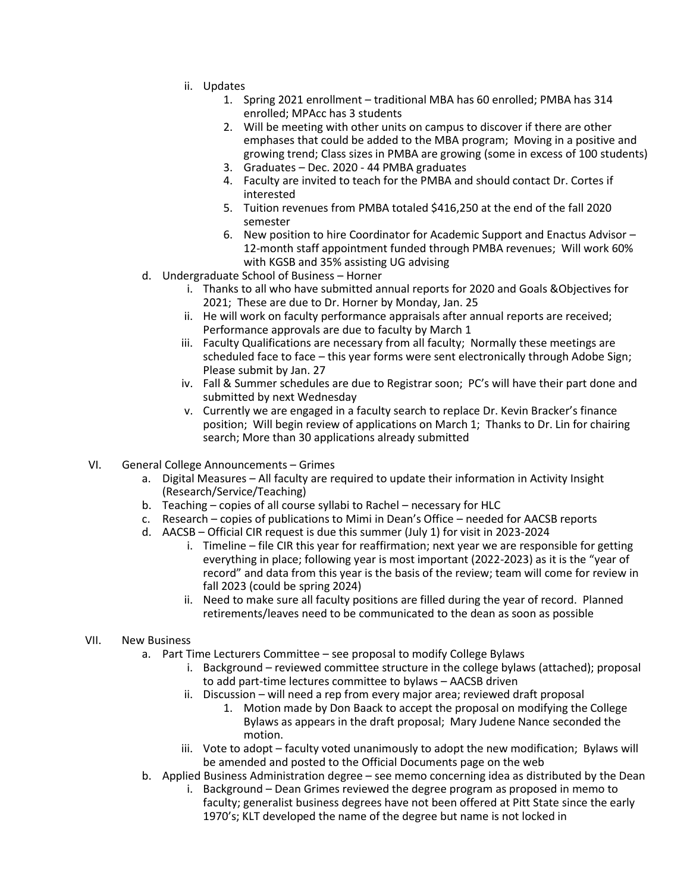- ii. Updates
	- 1. Spring 2021 enrollment traditional MBA has 60 enrolled; PMBA has 314 enrolled; MPAcc has 3 students
	- 2. Will be meeting with other units on campus to discover if there are other emphases that could be added to the MBA program; Moving in a positive and growing trend; Class sizes in PMBA are growing (some in excess of 100 students)
	- 3. Graduates Dec. 2020 44 PMBA graduates
	- 4. Faculty are invited to teach for the PMBA and should contact Dr. Cortes if interested
	- 5. Tuition revenues from PMBA totaled \$416,250 at the end of the fall 2020 semester
	- 6. New position to hire Coordinator for Academic Support and Enactus Advisor 12-month staff appointment funded through PMBA revenues; Will work 60% with KGSB and 35% assisting UG advising
- d. Undergraduate School of Business Horner
	- i. Thanks to all who have submitted annual reports for 2020 and Goals &Objectives for 2021; These are due to Dr. Horner by Monday, Jan. 25
	- ii. He will work on faculty performance appraisals after annual reports are received; Performance approvals are due to faculty by March 1
	- iii. Faculty Qualifications are necessary from all faculty; Normally these meetings are scheduled face to face – this year forms were sent electronically through Adobe Sign; Please submit by Jan. 27
	- iv. Fall & Summer schedules are due to Registrar soon; PC's will have their part done and submitted by next Wednesday
	- v. Currently we are engaged in a faculty search to replace Dr. Kevin Bracker's finance position; Will begin review of applications on March 1; Thanks to Dr. Lin for chairing search; More than 30 applications already submitted
- VI. General College Announcements Grimes
	- a. Digital Measures All faculty are required to update their information in Activity Insight (Research/Service/Teaching)
	- b. Teaching copies of all course syllabi to Rachel necessary for HLC
	- c. Research copies of publications to Mimi in Dean's Office needed for AACSB reports
	- d. AACSB Official CIR request is due this summer (July 1) for visit in 2023-2024
		- i. Timeline file CIR this year for reaffirmation; next year we are responsible for getting everything in place; following year is most important (2022-2023) as it is the "year of record" and data from this year is the basis of the review; team will come for review in fall 2023 (could be spring 2024)
		- ii. Need to make sure all faculty positions are filled during the year of record. Planned retirements/leaves need to be communicated to the dean as soon as possible

## VII. New Business

- a. Part Time Lecturers Committee see proposal to modify College Bylaws
	- i. Background reviewed committee structure in the college bylaws (attached); proposal to add part-time lectures committee to bylaws – AACSB driven
	- ii. Discussion will need a rep from every major area; reviewed draft proposal
		- 1. Motion made by Don Baack to accept the proposal on modifying the College Bylaws as appears in the draft proposal; Mary Judene Nance seconded the motion.
	- iii. Vote to adopt faculty voted unanimously to adopt the new modification; Bylaws will be amended and posted to the Official Documents page on the web
- b. Applied Business Administration degree see memo concerning idea as distributed by the Dean
	- i. Background Dean Grimes reviewed the degree program as proposed in memo to faculty; generalist business degrees have not been offered at Pitt State since the early 1970's; KLT developed the name of the degree but name is not locked in